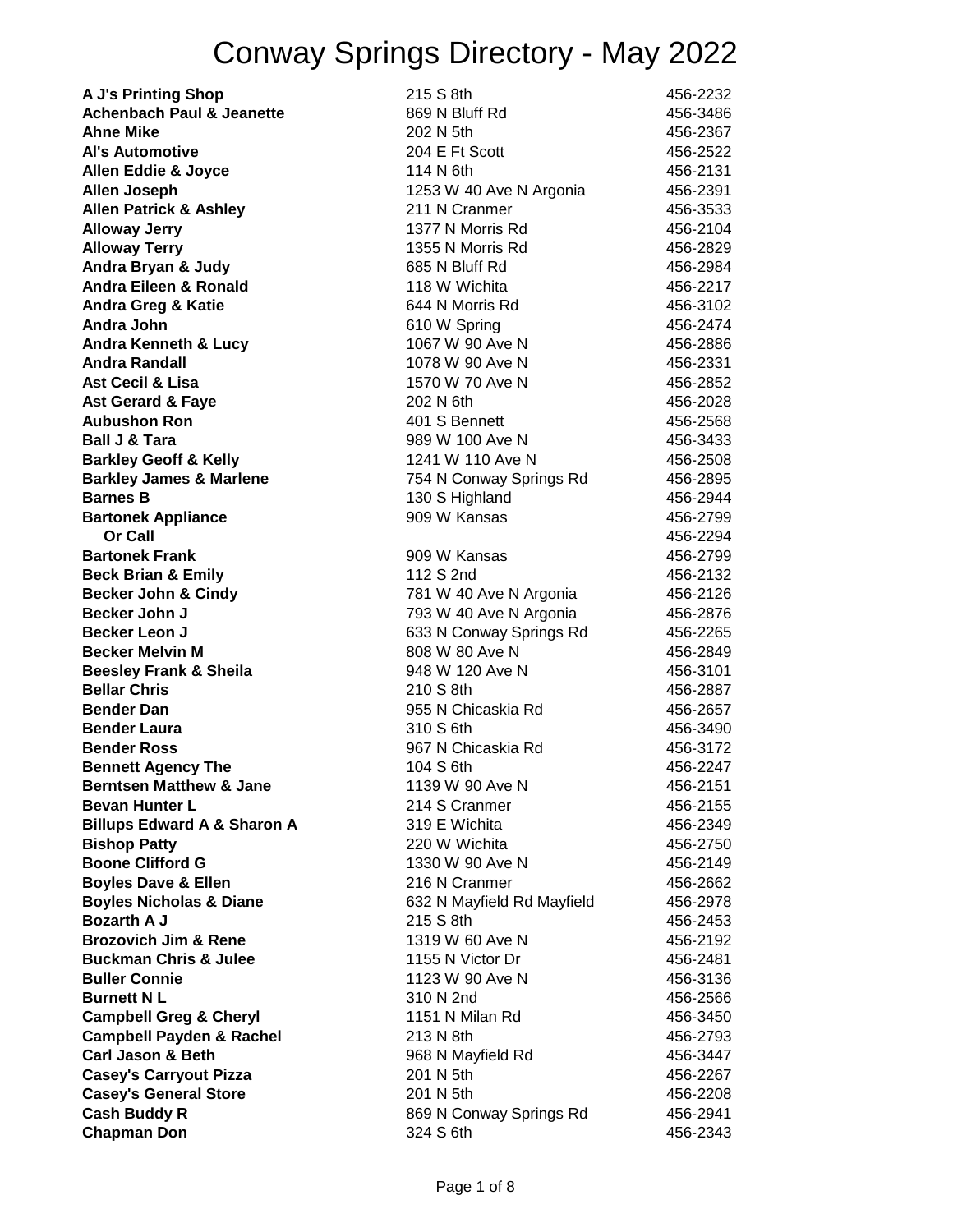| <b>A J's Printing Shop</b>                               | 215 S 8th                                 | 456-2232             |
|----------------------------------------------------------|-------------------------------------------|----------------------|
| <b>Achenbach Paul &amp; Jeanette</b>                     | 869 N Bluff Rd                            | 456-3486             |
| <b>Ahne Mike</b>                                         | 202 N 5th                                 | 456-2367             |
| <b>Al's Automotive</b>                                   | 204 E Ft Scott                            | 456-2522             |
| <b>Allen Eddie &amp; Joyce</b>                           | 114 N 6th                                 | 456-2131             |
| <b>Allen Joseph</b>                                      | 1253 W 40 Ave N Argonia                   | 456-2391             |
| <b>Allen Patrick &amp; Ashley</b>                        | 211 N Cranmer                             | 456-3533             |
| <b>Alloway Jerry</b>                                     | 1377 N Morris Rd                          | 456-2104             |
| <b>Alloway Terry</b>                                     | 1355 N Morris Rd                          | 456-2829             |
| Andra Bryan & Judy                                       | 685 N Bluff Rd                            | 456-2984             |
| <b>Andra Eileen &amp; Ronald</b>                         | 118 W Wichita                             | 456-2217             |
| <b>Andra Greg &amp; Katie</b>                            | 644 N Morris Rd                           | 456-3102             |
| Andra John                                               | 610 W Spring                              | 456-2474             |
| <b>Andra Kenneth &amp; Lucy</b>                          | 1067 W 90 Ave N                           | 456-2886             |
| <b>Andra Randall</b>                                     | 1078 W 90 Ave N                           | 456-2331             |
| <b>Ast Cecil &amp; Lisa</b>                              | 1570 W 70 Ave N                           | 456-2852             |
| <b>Ast Gerard &amp; Faye</b>                             | 202 N 6th                                 | 456-2028             |
| <b>Aubushon Ron</b>                                      | 401 S Bennett                             | 456-2568             |
| <b>Ball J &amp; Tara</b>                                 | 989 W 100 Ave N                           | 456-3433             |
| <b>Barkley Geoff &amp; Kelly</b>                         | 1241 W 110 Ave N                          | 456-2508             |
| <b>Barkley James &amp; Marlene</b>                       | 754 N Conway Springs Rd                   | 456-2895             |
| <b>Barnes B</b>                                          | 130 S Highland                            | 456-2944             |
| <b>Bartonek Appliance</b>                                | 909 W Kansas                              | 456-2799             |
| <b>Or Call</b>                                           |                                           | 456-2294             |
| <b>Bartonek Frank</b>                                    | 909 W Kansas                              | 456-2799             |
| <b>Beck Brian &amp; Emily</b>                            | 112 S 2nd                                 | 456-2132             |
| <b>Becker John &amp; Cindy</b>                           | 781 W 40 Ave N Argonia                    | 456-2126             |
| <b>Becker John J</b>                                     |                                           | 456-2876             |
| <b>Becker Leon J</b>                                     | 793 W 40 Ave N Argonia                    |                      |
| <b>Becker Melvin M</b>                                   | 633 N Conway Springs Rd<br>808 W 80 Ave N | 456-2265             |
|                                                          |                                           | 456-2849             |
| <b>Beesley Frank &amp; Sheila</b><br><b>Bellar Chris</b> | 948 W 120 Ave N                           | 456-3101             |
| <b>Bender Dan</b>                                        | 210 S 8th                                 | 456-2887             |
|                                                          | 955 N Chicaskia Rd                        | 456-2657             |
| <b>Bender Laura</b>                                      | 310 S 6th<br>967 N Chicaskia Rd           | 456-3490             |
| <b>Bender Ross</b>                                       |                                           | 456-3172<br>456-2247 |
| <b>Bennett Agency The</b>                                | 104 S 6th                                 |                      |
| <b>Berntsen Matthew &amp; Jane</b>                       | 1139 W 90 Ave N                           | 456-2151             |
| <b>Bevan Hunter L</b>                                    | 214 S Cranmer                             | 456-2155             |
| <b>Billups Edward A &amp; Sharon A</b>                   | 319 E Wichita                             | 456-2349             |
| <b>Bishop Patty</b>                                      | 220 W Wichita<br>1330 W 90 Ave N          | 456-2750             |
| <b>Boone Clifford G</b>                                  | 216 N Cranmer                             | 456-2149             |
| <b>Boyles Dave &amp; Ellen</b>                           |                                           | 456-2662             |
| <b>Boyles Nicholas &amp; Diane</b><br><b>Bozarth A J</b> | 632 N Mayfield Rd Mayfield                | 456-2978             |
|                                                          | 215 S 8th                                 | 456-2453             |
| <b>Brozovich Jim &amp; Rene</b>                          | 1319 W 60 Ave N                           | 456-2192             |
| <b>Buckman Chris &amp; Julee</b>                         | 1155 N Victor Dr                          | 456-2481             |
| <b>Buller Connie</b>                                     | 1123 W 90 Ave N                           | 456-3136             |
| <b>Burnett NL</b>                                        | 310 N 2nd                                 | 456-2566             |
| <b>Campbell Greg &amp; Cheryl</b>                        | 1151 N Milan Rd                           | 456-3450             |
| <b>Campbell Payden &amp; Rachel</b>                      | 213 N 8th                                 | 456-2793             |
| <b>Carl Jason &amp; Beth</b>                             | 968 N Mayfield Rd                         | 456-3447             |
| <b>Casey's Carryout Pizza</b>                            | 201 N 5th                                 | 456-2267             |
| <b>Casey's General Store</b>                             | 201 N 5th                                 | 456-2208             |
| <b>Cash Buddy R</b>                                      | 869 N Conway Springs Rd                   | 456-2941             |
| <b>Chapman Don</b>                                       | 324 S 6th                                 | 456-2343             |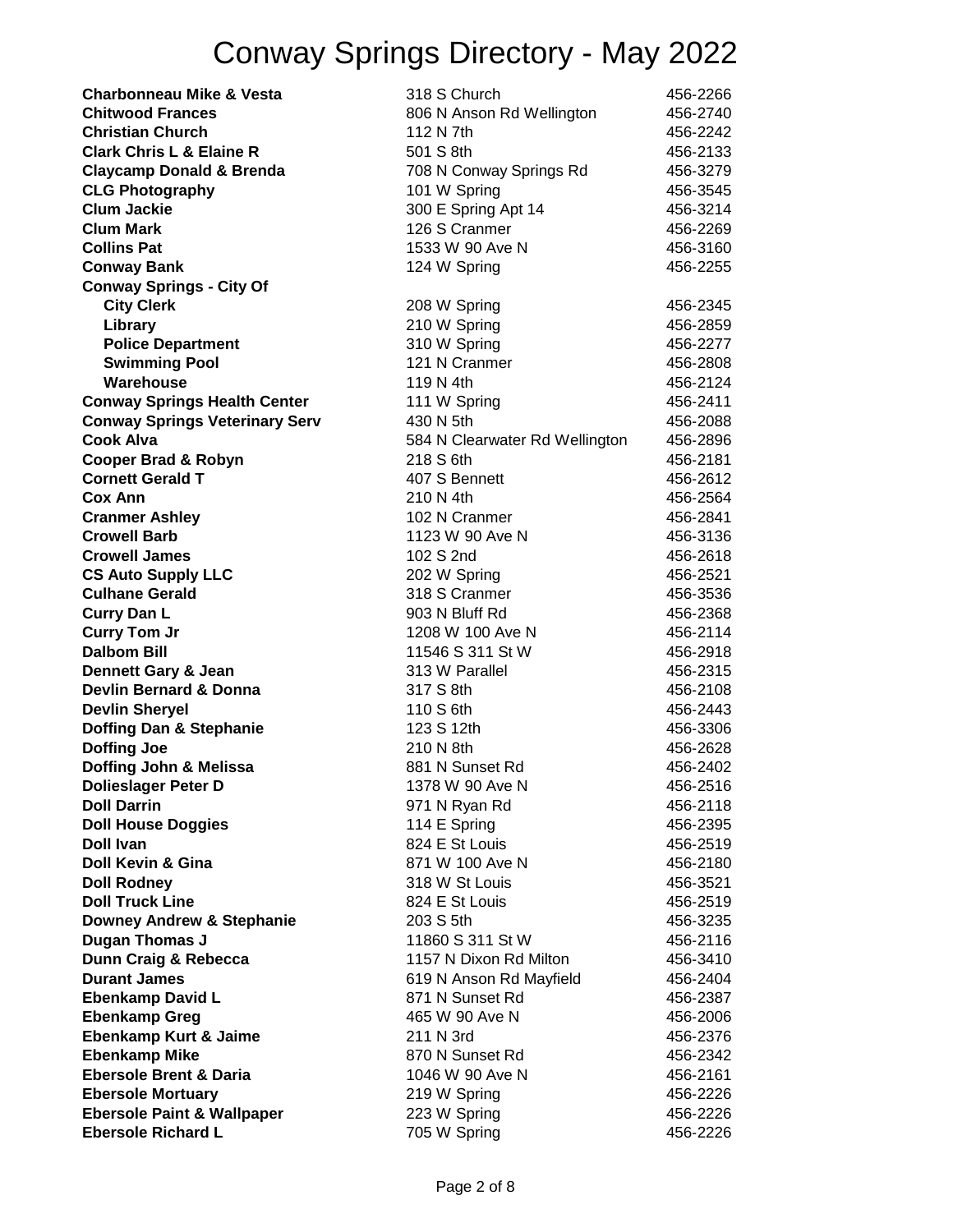| <b>Charbonneau Mike &amp; Vesta</b>   | 318 S Church                   | 456-2266 |
|---------------------------------------|--------------------------------|----------|
| <b>Chitwood Frances</b>               | 806 N Anson Rd Wellington      | 456-2740 |
| <b>Christian Church</b>               | 112 N 7th                      | 456-2242 |
| <b>Clark Chris L &amp; Elaine R</b>   | 501 S 8th                      | 456-2133 |
| <b>Claycamp Donald &amp; Brenda</b>   | 708 N Conway Springs Rd        | 456-3279 |
| <b>CLG Photography</b>                | 101 W Spring                   | 456-3545 |
| <b>Clum Jackie</b>                    | 300 E Spring Apt 14            | 456-3214 |
| <b>Clum Mark</b>                      | 126 S Cranmer                  | 456-2269 |
| <b>Collins Pat</b>                    | 1533 W 90 Ave N                | 456-3160 |
| <b>Conway Bank</b>                    | 124 W Spring                   | 456-2255 |
| <b>Conway Springs - City Of</b>       |                                |          |
| <b>City Clerk</b>                     | 208 W Spring                   | 456-2345 |
| Library                               | 210 W Spring                   | 456-2859 |
| <b>Police Department</b>              | 310 W Spring                   | 456-2277 |
| <b>Swimming Pool</b>                  | 121 N Cranmer                  | 456-2808 |
| Warehouse                             | 119 N 4th                      | 456-2124 |
| <b>Conway Springs Health Center</b>   | 111 W Spring                   | 456-2411 |
| <b>Conway Springs Veterinary Serv</b> | 430 N 5th                      | 456-2088 |
| <b>Cook Alva</b>                      | 584 N Clearwater Rd Wellington | 456-2896 |
| <b>Cooper Brad &amp; Robyn</b>        | 218 S 6th                      | 456-2181 |
| <b>Cornett Gerald T</b>               | 407 S Bennett                  | 456-2612 |
| <b>Cox Ann</b>                        | 210 N 4th                      | 456-2564 |
| <b>Cranmer Ashley</b>                 | 102 N Cranmer                  | 456-2841 |
| <b>Crowell Barb</b>                   | 1123 W 90 Ave N                | 456-3136 |
| <b>Crowell James</b>                  | 102 S 2nd                      | 456-2618 |
| <b>CS Auto Supply LLC</b>             | 202 W Spring                   | 456-2521 |
| <b>Culhane Gerald</b>                 | 318 S Cranmer                  | 456-3536 |
| <b>Curry Dan L</b>                    | 903 N Bluff Rd                 | 456-2368 |
| <b>Curry Tom Jr</b>                   | 1208 W 100 Ave N               | 456-2114 |
| <b>Dalbom Bill</b>                    | 11546 S 311 St W               | 456-2918 |
| <b>Dennett Gary &amp; Jean</b>        | 313 W Parallel                 | 456-2315 |
| <b>Devlin Bernard &amp; Donna</b>     | 317 S 8th                      | 456-2108 |
| <b>Devlin Sheryel</b>                 | 110 S 6th                      | 456-2443 |
| Doffing Dan & Stephanie               | 123 S 12th                     | 456-3306 |
| <b>Doffing Joe</b>                    | 210 N 8th                      | 456-2628 |
| Doffing John & Melissa                | 881 N Sunset Rd                | 456-2402 |
| <b>Dolieslager Peter D</b>            | 1378 W 90 Ave N                | 456-2516 |
| <b>Doll Darrin</b>                    | 971 N Ryan Rd                  | 456-2118 |
| <b>Doll House Doggies</b>             | 114 E Spring                   | 456-2395 |
| <b>Doll Ivan</b>                      | 824 E St Louis                 | 456-2519 |
| Doll Kevin & Gina                     | 871 W 100 Ave N                | 456-2180 |
| <b>Doll Rodney</b>                    | 318 W St Louis                 | 456-3521 |
| <b>Doll Truck Line</b>                | 824 E St Louis                 | 456-2519 |
| <b>Downey Andrew &amp; Stephanie</b>  | 203 S 5th                      | 456-3235 |
| Dugan Thomas J                        | 11860 S 311 St W               | 456-2116 |
| Dunn Craig & Rebecca                  | 1157 N Dixon Rd Milton         | 456-3410 |
| <b>Durant James</b>                   | 619 N Anson Rd Mayfield        | 456-2404 |
| <b>Ebenkamp David L</b>               | 871 N Sunset Rd                | 456-2387 |
| <b>Ebenkamp Greg</b>                  | 465 W 90 Ave N                 | 456-2006 |
| Ebenkamp Kurt & Jaime                 | 211 N 3rd                      | 456-2376 |
| <b>Ebenkamp Mike</b>                  | 870 N Sunset Rd                | 456-2342 |
| <b>Ebersole Brent &amp; Daria</b>     | 1046 W 90 Ave N                | 456-2161 |
| <b>Ebersole Mortuary</b>              | 219 W Spring                   | 456-2226 |
| <b>Ebersole Paint &amp; Wallpaper</b> | 223 W Spring                   | 456-2226 |
| <b>Ebersole Richard L</b>             | 705 W Spring                   | 456-2226 |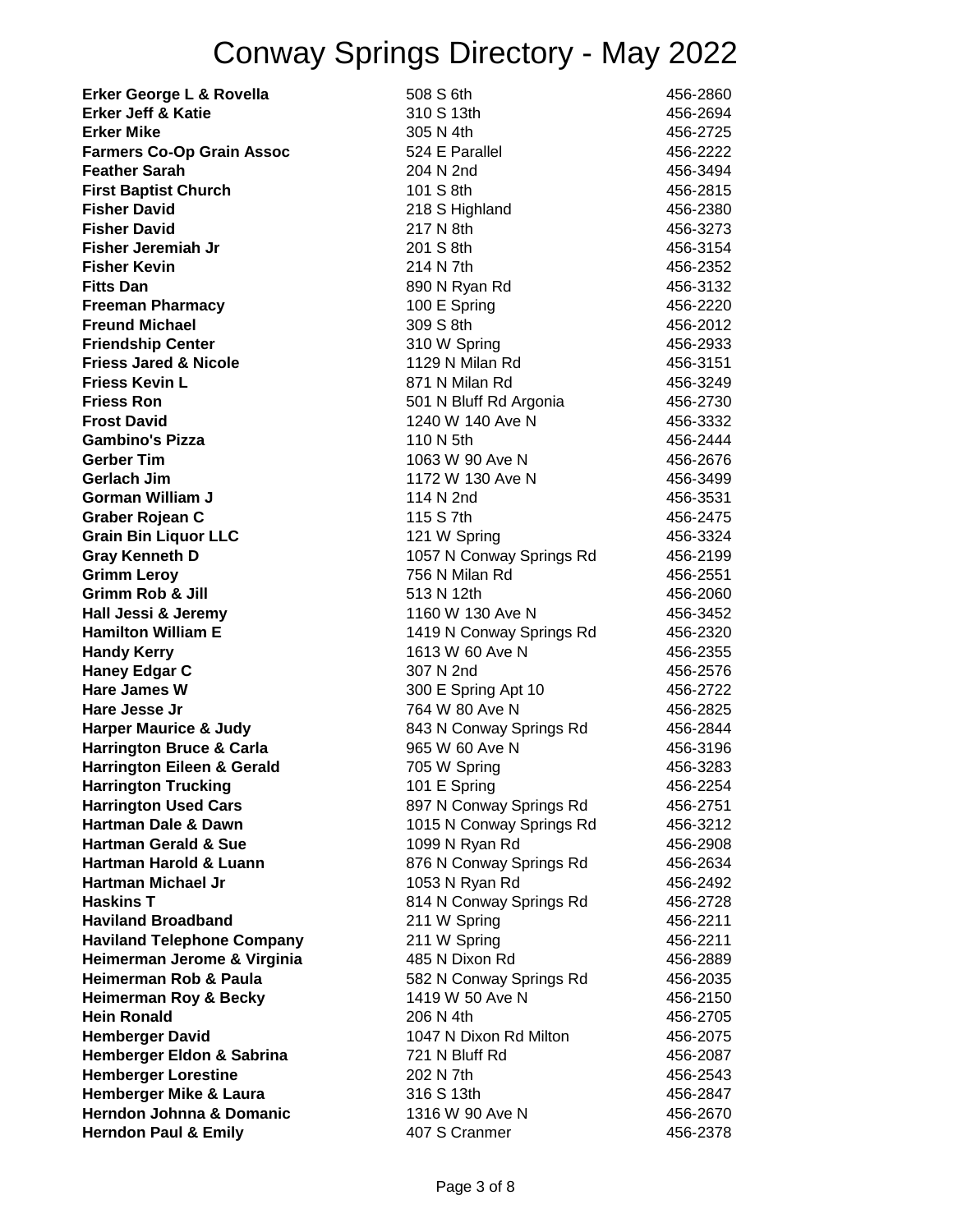**Erker George L & Rovella** 508 S 6th 456-2860 **Erker Jeff & Katie** 310 S 13th 456‑2694 **Erker Mike** 456-2725 **Farmers Co-Op Grain Assoc** 524 E Parallel 456-2222 **Feather Sarah 2012** 204 N 2nd 456-3494 **First Baptist Church** 101 S 8th 456-2815 **Fisher David** 218 S Highland 456-2380 **Fisher David** 217 N 8th 456‑3273 **Fisher Jeremiah Jr** 201 S 8th 456-3154 **Fisher Kevin** 214 N 7th 456‑2352 **Fitts Dan** 456-3132 **Freeman Pharmacy** 100 E Spring 456-2220 **Freund Michael** 309 S 8th 456‑2012 **Friendship Center 1988 1998 1999 1999 1999 1999 1999 1999 1999 1999 1999 1999 1999 1999 1999 1999 1999 1999 1999 1999 1999 1999 1999 1999 1999 1999 1999 1999 1999 Friess Jared & Nicole 1129 N Milan Rd 456-3151 Friess Kevin L Community Community Community Community Community Community Community Community Community Community AS6-3249 Friess Ron** 501 N Bluff Rd Argonia 456-2730 **Frost David** 1240 W 140 Ave N 456-3332 **Gambino's Pizza** 110 N 5th 456‑2444 **Gerber Tim** 1063 W 90 Ave N 456-2676 **Gerlach Jim** 1172 W 130 Ave N 456-3499 **Gorman William J** 114 N 2nd 114 N 2nd 456-3531 **Graber Rojean C** 115 S 7th 456‑2475 **Grain Bin Liquor LLC** 121 W Spring 456-3324 Gray Kenneth D **1057 N Conway Springs Rd** 456-2199 **Grimm Leroy** 756 N Milan Rd 456‑2551 **Grimm Rob & Jill** 513 N 12th 456‑2060 **Hall Jessi & Jeremy** 1160 W 130 Ave N 456‑3452 **Hamilton William E** 1419 N Conway Springs Rd 456-2320 **Handy Kerry** 1613 W 60 Ave N 456-2355 **Haney Edgar C** 307 N 2nd 456-2576 **Hare James W** 300 E Spring Apt 10 456-2722 **Hare Jesse Jr** 764 W 80 Ave N 456‑2825 **Harper Maurice & Judy Conway Springs Rd** 456-2844 **Harrington Bruce & Carla** 965 W 60 Ave N 456-3196 **Harrington Eileen & Gerald** 705 W Spring 456-3283 **Harrington Trucking 101 E Spring 101 E Spring 456-2254 Harrington Used Cars** 897 N Conway Springs Rd 456-2751 **Hartman Dale & Dawn** 1015 N Conway Springs Rd 456-3212 **Hartman Gerald & Sue** 1099 N Ryan Rd 456-2908 **Hartman Harold & Luann** 1876 N Conway Springs Rd 156-2634 **Hartman Michael Jr** 1053 N Ryan Rd 456-2492 **Haskins T** 814 N Conway Springs Rd 456-2728 **Haviland Broadband** 211 W Spring 2008 2009 456-2211 **Haviland Telephone Company**  211 W Spring **1996** 2011 **Heimerman Jerome & Virginia** 485 N Dixon Rd 456-2889 **Heimerman Rob & Paula** 682 N Conway Springs Rd 456-2035 **Heimerman Roy & Becky** 1419 W 50 Ave N 456-2150 **Hein Ronald** 206 N 4th 456-2705 **Hemberger David** 1047 N Dixon Rd Milton 456-2075 **Hemberger Eldon & Sabrina**  $\frac{721 \text{ N}}{456}$  Rd  $\frac{456 \cdot 2087}{456}$ **Hemberger Lorestine** 202 N 7th 456-2543 **Hemberger Mike & Laura** 316 S 13th 456-2847 **Herndon Johnna & Domanic 1316 W 90 Ave N 456-2670 Herndon Paul & Emily 107 S Cranmer 456-2378**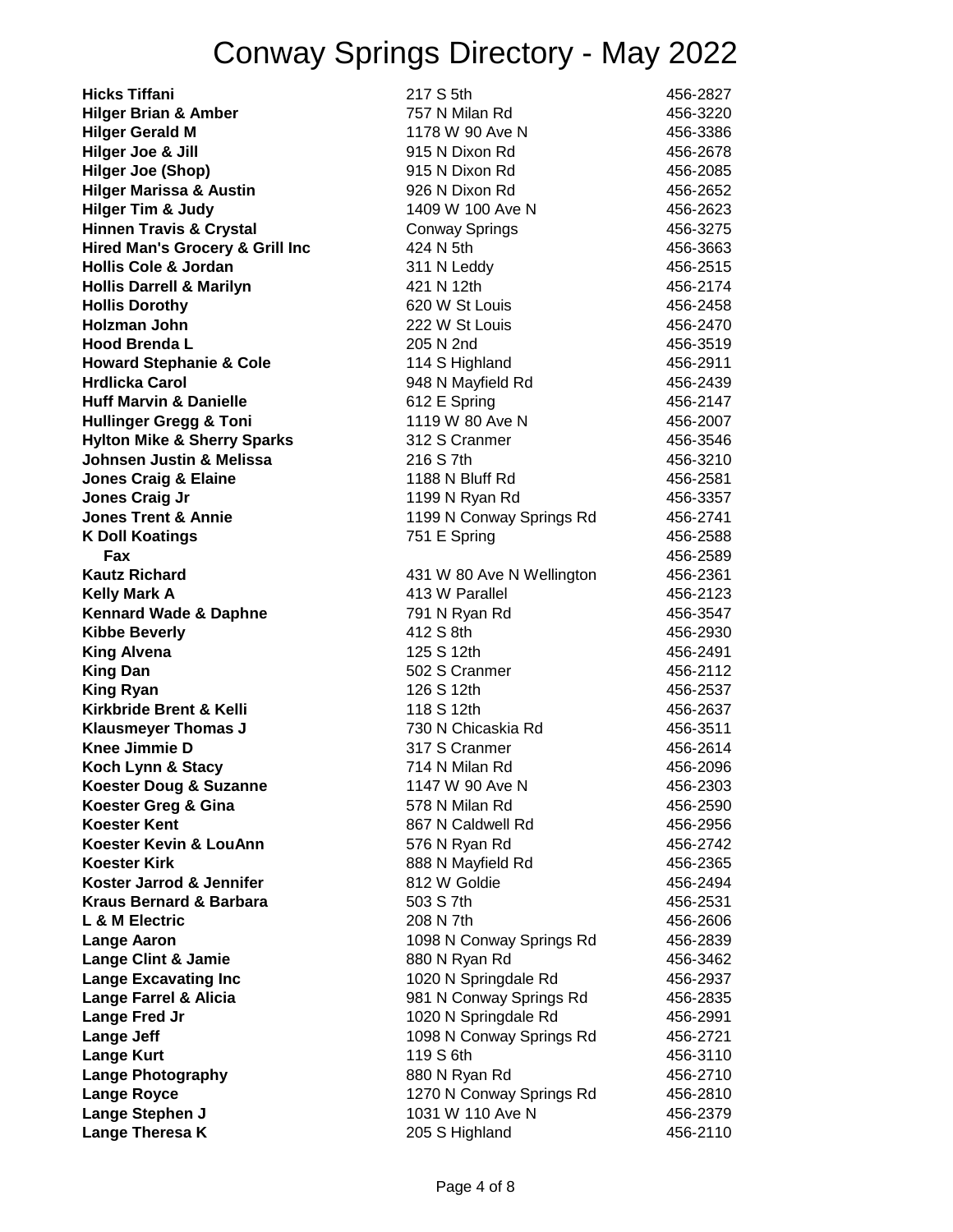| <b>Hicks Tiffani</b>                       | 217 S 5th                 | 456-2827 |
|--------------------------------------------|---------------------------|----------|
| <b>Hilger Brian &amp; Amber</b>            | 757 N Milan Rd            | 456-3220 |
| <b>Hilger Gerald M</b>                     | 1178 W 90 Ave N           | 456-3386 |
| Hilger Joe & Jill                          | 915 N Dixon Rd            | 456-2678 |
| <b>Hilger Joe (Shop)</b>                   | 915 N Dixon Rd            | 456-2085 |
| <b>Hilger Marissa &amp; Austin</b>         | 926 N Dixon Rd            | 456-2652 |
| <b>Hilger Tim &amp; Judy</b>               | 1409 W 100 Ave N          | 456-2623 |
| <b>Hinnen Travis &amp; Crystal</b>         | <b>Conway Springs</b>     | 456-3275 |
| <b>Hired Man's Grocery &amp; Grill Inc</b> | 424 N 5th                 | 456-3663 |
| <b>Hollis Cole &amp; Jordan</b>            | 311 N Leddy               | 456-2515 |
| <b>Hollis Darrell &amp; Marilyn</b>        | 421 N 12th                | 456-2174 |
| <b>Hollis Dorothy</b>                      | 620 W St Louis            | 456-2458 |
| Holzman John                               | 222 W St Louis            | 456-2470 |
| <b>Hood Brenda L</b>                       | 205 N 2nd                 | 456-3519 |
| <b>Howard Stephanie &amp; Cole</b>         | 114 S Highland            | 456-2911 |
| <b>Hrdlicka Carol</b>                      | 948 N Mayfield Rd         | 456-2439 |
| <b>Huff Marvin &amp; Danielle</b>          | 612 E Spring              | 456-2147 |
| <b>Hullinger Gregg &amp; Toni</b>          | 1119 W 80 Ave N           | 456-2007 |
| <b>Hylton Mike &amp; Sherry Sparks</b>     | 312 S Cranmer             | 456-3546 |
| Johnsen Justin & Melissa                   | 216 S 7th                 | 456-3210 |
| <b>Jones Craig &amp; Elaine</b>            | 1188 N Bluff Rd           | 456-2581 |
| <b>Jones Craig Jr</b>                      | 1199 N Ryan Rd            | 456-3357 |
| <b>Jones Trent &amp; Annie</b>             | 1199 N Conway Springs Rd  | 456-2741 |
| <b>K Doll Koatings</b>                     | 751 E Spring              | 456-2588 |
| Fax                                        |                           | 456-2589 |
| <b>Kautz Richard</b>                       | 431 W 80 Ave N Wellington | 456-2361 |
| <b>Kelly Mark A</b>                        | 413 W Parallel            | 456-2123 |
| <b>Kennard Wade &amp; Daphne</b>           | 791 N Ryan Rd             | 456-3547 |
| <b>Kibbe Beverly</b>                       | 412 S 8th                 | 456-2930 |
| <b>King Alvena</b>                         | 125 S 12th                | 456-2491 |
| <b>King Dan</b>                            | 502 S Cranmer             | 456-2112 |
| <b>King Ryan</b>                           | 126 S 12th                | 456-2537 |
| Kirkbride Brent & Kelli                    | 118 S 12th                | 456-2637 |
| <b>Klausmeyer Thomas J</b>                 | 730 N Chicaskia Rd        | 456-3511 |
| <b>Knee Jimmie D</b>                       | 317 S Cranmer             | 456-2614 |
| Koch Lynn & Stacy                          | 714 N Milan Rd            | 456-2096 |
| <b>Koester Doug &amp; Suzanne</b>          | 1147 W 90 Ave N           | 456-2303 |
| Koester Greg & Gina                        | 578 N Milan Rd            | 456-2590 |
| <b>Koester Kent</b>                        | 867 N Caldwell Rd         | 456-2956 |
| Koester Kevin & LouAnn                     | 576 N Ryan Rd             | 456-2742 |
| <b>Koester Kirk</b>                        | 888 N Mayfield Rd         | 456-2365 |
| Koster Jarrod & Jennifer                   | 812 W Goldie              | 456-2494 |
| <b>Kraus Bernard &amp; Barbara</b>         | 503 S 7th                 | 456-2531 |
| L & M Electric                             | 208 N 7th                 | 456-2606 |
| <b>Lange Aaron</b>                         | 1098 N Conway Springs Rd  | 456-2839 |
| <b>Lange Clint &amp; Jamie</b>             | 880 N Ryan Rd             | 456-3462 |
| <b>Lange Excavating Inc</b>                | 1020 N Springdale Rd      | 456-2937 |
| <b>Lange Farrel &amp; Alicia</b>           | 981 N Conway Springs Rd   | 456-2835 |
| Lange Fred Jr                              | 1020 N Springdale Rd      | 456-2991 |
| <b>Lange Jeff</b>                          | 1098 N Conway Springs Rd  | 456-2721 |
| <b>Lange Kurt</b>                          | 119 S 6th                 | 456-3110 |
| <b>Lange Photography</b>                   | 880 N Ryan Rd             | 456-2710 |
| <b>Lange Royce</b>                         | 1270 N Conway Springs Rd  | 456-2810 |
| <b>Lange Stephen J</b>                     | 1031 W 110 Ave N          | 456-2379 |
| Lange Theresa K                            | 205 S Highland            | 456-2110 |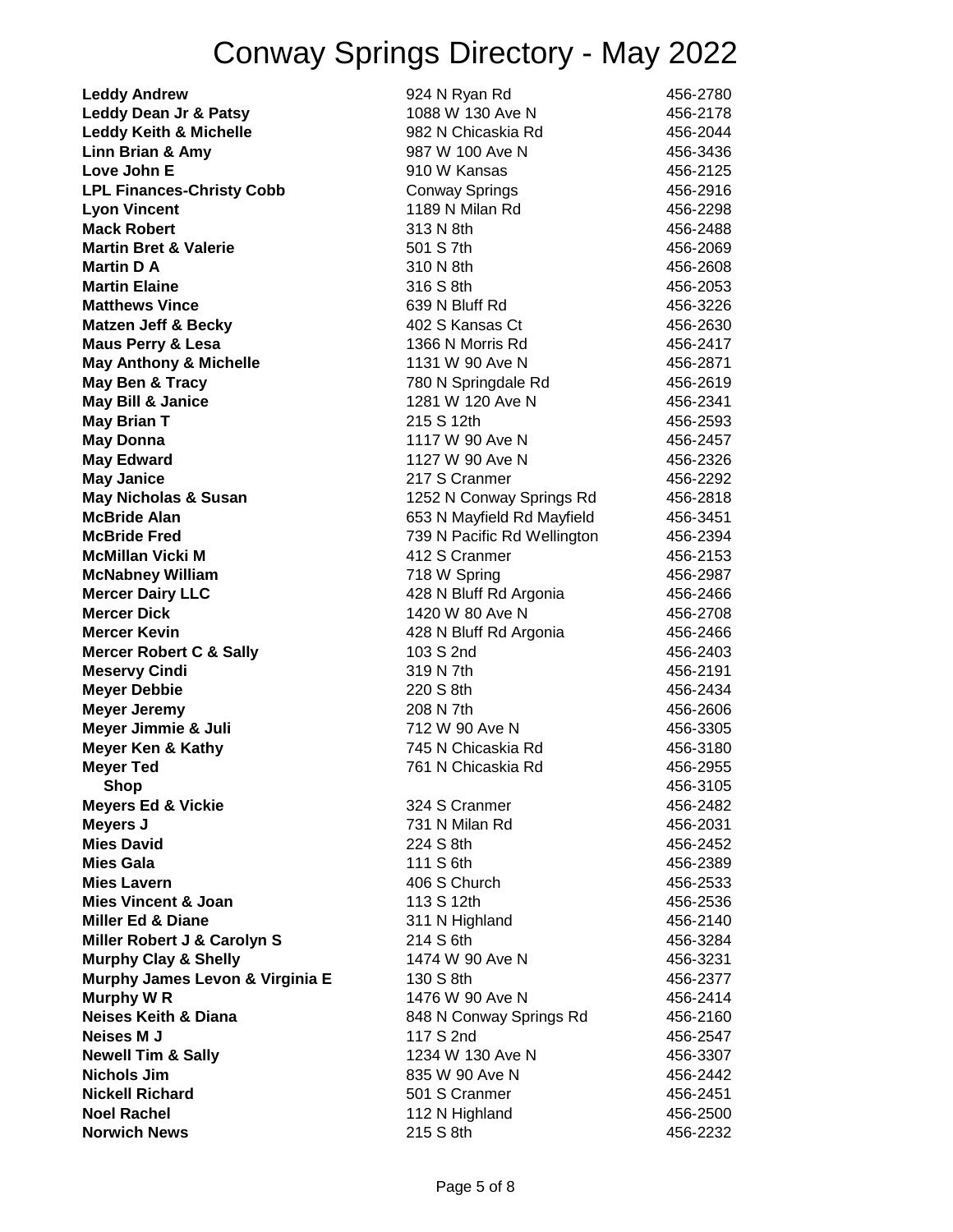| <b>Leddy Andrew</b>                                                | 924 N Ryan Rd               | 456-2780             |
|--------------------------------------------------------------------|-----------------------------|----------------------|
| Leddy Dean Jr & Patsy                                              | 1088 W 130 Ave N            | 456-2178             |
| <b>Leddy Keith &amp; Michelle</b>                                  | 982 N Chicaskia Rd          | 456-2044             |
| Linn Brian & Amy                                                   | 987 W 100 Ave N             | 456-3436             |
| Love John E                                                        | 910 W Kansas                | 456-2125             |
| <b>LPL Finances-Christy Cobb</b>                                   | <b>Conway Springs</b>       | 456-2916             |
| <b>Lyon Vincent</b>                                                | 1189 N Milan Rd             | 456-2298             |
| <b>Mack Robert</b>                                                 | 313 N 8th                   | 456-2488             |
| <b>Martin Bret &amp; Valerie</b>                                   | 501 S 7th                   | 456-2069             |
| Martin D A                                                         | 310 N 8th                   | 456-2608             |
| <b>Martin Elaine</b>                                               | 316 S 8th                   | 456-2053             |
| <b>Matthews Vince</b>                                              | 639 N Bluff Rd              | 456-3226             |
| <b>Matzen Jeff &amp; Becky</b>                                     | 402 S Kansas Ct             | 456-2630             |
| <b>Maus Perry &amp; Lesa</b>                                       | 1366 N Morris Rd            | 456-2417             |
| <b>May Anthony &amp; Michelle</b>                                  | 1131 W 90 Ave N             | 456-2871             |
| May Ben & Tracy                                                    | 780 N Springdale Rd         | 456-2619             |
| <b>May Bill &amp; Janice</b>                                       | 1281 W 120 Ave N            | 456-2341             |
| <b>May Brian T</b>                                                 | 215 S 12th                  | 456-2593             |
| <b>May Donna</b>                                                   | 1117 W 90 Ave N             | 456-2457             |
| <b>May Edward</b>                                                  | 1127 W 90 Ave N             | 456-2326             |
| <b>May Janice</b>                                                  | 217 S Cranmer               | 456-2292             |
| <b>May Nicholas &amp; Susan</b>                                    | 1252 N Conway Springs Rd    | 456-2818             |
| <b>McBride Alan</b>                                                | 653 N Mayfield Rd Mayfield  | 456-3451             |
| <b>McBride Fred</b>                                                | 739 N Pacific Rd Wellington | 456-2394             |
| <b>McMillan Vicki M</b>                                            | 412 S Cranmer               | 456-2153             |
| <b>McNabney William</b>                                            | 718 W Spring                | 456-2987             |
| <b>Mercer Dairy LLC</b>                                            | 428 N Bluff Rd Argonia      | 456-2466             |
| <b>Mercer Dick</b>                                                 | 1420 W 80 Ave N             | 456-2708             |
| <b>Mercer Kevin</b>                                                | 428 N Bluff Rd Argonia      | 456-2466             |
| <b>Mercer Robert C &amp; Sally</b>                                 | 103 S 2nd                   | 456-2403             |
| <b>Meservy Cindi</b>                                               | 319 N 7th                   | 456-2191             |
| <b>Meyer Debbie</b>                                                | 220 S 8th                   | 456-2434             |
| <b>Meyer Jeremy</b>                                                | 208 N 7th                   | 456-2606             |
| Meyer Jimmie & Juli                                                | 712 W 90 Ave N              | 456-3305             |
| <b>Meyer Ken &amp; Kathy</b>                                       | 745 N Chicaskia Rd          | 456-3180             |
| <b>Meyer Ted</b>                                                   | 761 N Chicaskia Rd          | 456-2955             |
| Shop                                                               |                             | 456-3105             |
| <b>Meyers Ed &amp; Vickie</b>                                      | 324 S Cranmer               | 456-2482             |
| Meyers J                                                           | 731 N Milan Rd              | 456-2031             |
| <b>Mies David</b>                                                  | 224 S 8th                   | 456-2452             |
| <b>Mies Gala</b>                                                   | 111 S 6th                   | 456-2389             |
| <b>Mies Lavern</b>                                                 | 406 S Church                | 456-2533             |
| <b>Mies Vincent &amp; Joan</b>                                     | 113 S 12th                  | 456-2536             |
| <b>Miller Ed &amp; Diane</b>                                       | 311 N Highland              | 456-2140             |
| Miller Robert J & Carolyn S                                        | 214 S 6th                   | 456-3284             |
|                                                                    | 1474 W 90 Ave N             |                      |
| <b>Murphy Clay &amp; Shelly</b><br>Murphy James Levon & Virginia E | 130 S 8th                   | 456-3231<br>456-2377 |
| Murphy W R                                                         | 1476 W 90 Ave N             | 456-2414             |
| <b>Neises Keith &amp; Diana</b>                                    |                             |                      |
|                                                                    | 848 N Conway Springs Rd     | 456-2160             |
| <b>Neises M J</b>                                                  | 117 S 2nd                   | 456-2547             |
| <b>Newell Tim &amp; Sally</b>                                      | 1234 W 130 Ave N            | 456-3307             |
| <b>Nichols Jim</b>                                                 | 835 W 90 Ave N              | 456-2442             |
| <b>Nickell Richard</b>                                             | 501 S Cranmer               | 456-2451             |
| <b>Noel Rachel</b>                                                 | 112 N Highland              | 456-2500             |
| <b>Norwich News</b>                                                | 215 S 8th                   | 456-2232             |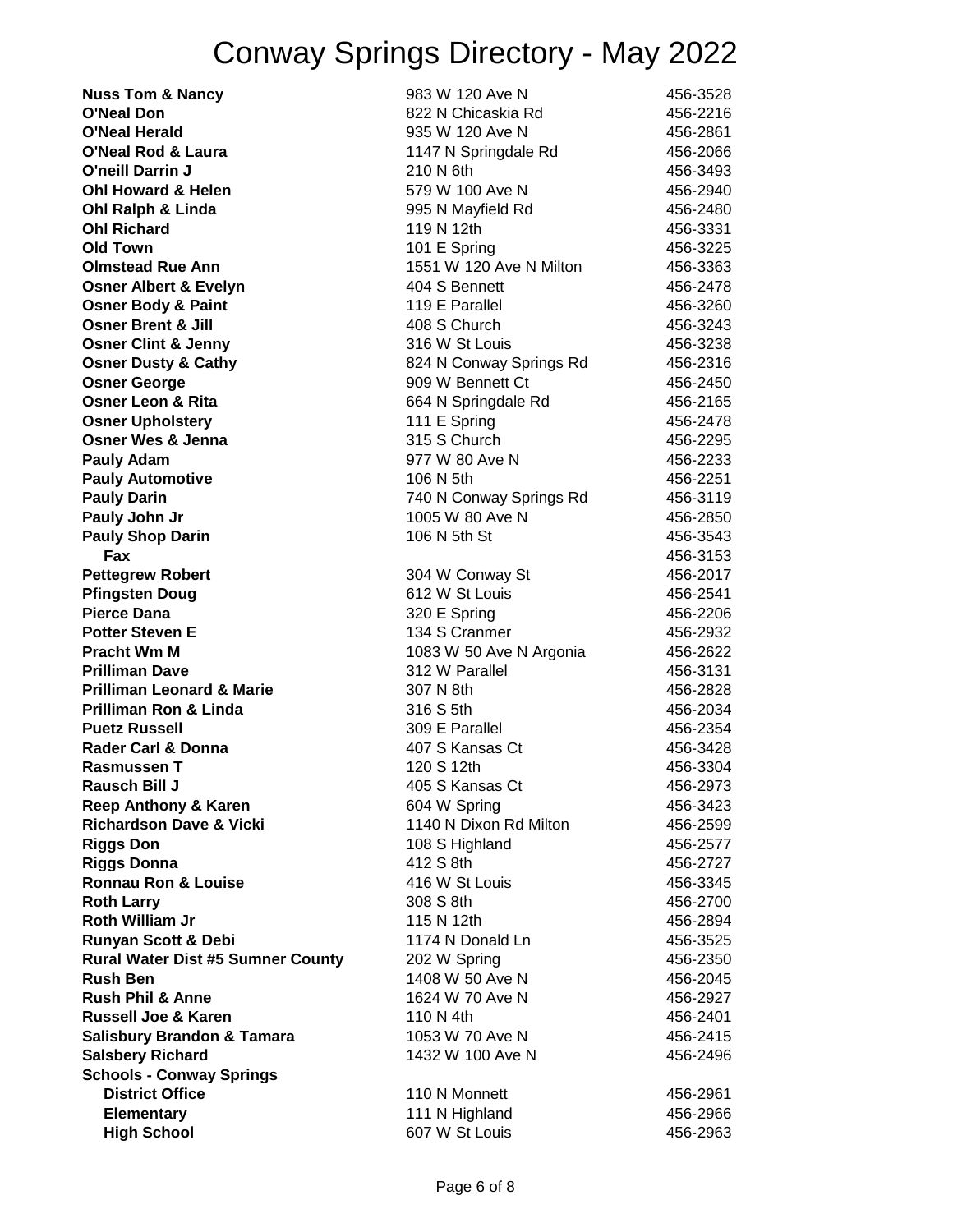| <b>Nuss Tom &amp; Nancy</b>              | 983 W 120 Ave N         | 456-3528 |
|------------------------------------------|-------------------------|----------|
| <b>O'Neal Don</b>                        | 822 N Chicaskia Rd      | 456-2216 |
| O'Neal Herald                            | 935 W 120 Ave N         | 456-2861 |
| <b>O'Neal Rod &amp; Laura</b>            | 1147 N Springdale Rd    | 456-2066 |
| <b>O'neill Darrin J</b>                  | 210 N 6th               | 456-3493 |
| <b>Ohl Howard &amp; Helen</b>            | 579 W 100 Ave N         | 456-2940 |
| Ohl Ralph & Linda                        | 995 N Mayfield Rd       | 456-2480 |
| <b>Ohl Richard</b>                       | 119 N 12th              | 456-3331 |
| <b>Old Town</b>                          | 101 E Spring            | 456-3225 |
| <b>Olmstead Rue Ann</b>                  | 1551 W 120 Ave N Milton | 456-3363 |
| <b>Osner Albert &amp; Evelyn</b>         | 404 S Bennett           | 456-2478 |
| <b>Osner Body &amp; Paint</b>            | 119 E Parallel          | 456-3260 |
| <b>Osner Brent &amp; Jill</b>            | 408 S Church            | 456-3243 |
| <b>Osner Clint &amp; Jenny</b>           | 316 W St Louis          | 456-3238 |
| <b>Osner Dusty &amp; Cathy</b>           | 824 N Conway Springs Rd | 456-2316 |
| <b>Osner George</b>                      | 909 W Bennett Ct        | 456-2450 |
| <b>Osner Leon &amp; Rita</b>             | 664 N Springdale Rd     | 456-2165 |
| <b>Osner Upholstery</b>                  | 111 E Spring            | 456-2478 |
| <b>Osner Wes &amp; Jenna</b>             | 315 S Church            | 456-2295 |
| <b>Pauly Adam</b>                        | 977 W 80 Ave N          | 456-2233 |
| <b>Pauly Automotive</b>                  | 106 N 5th               | 456-2251 |
| <b>Pauly Darin</b>                       | 740 N Conway Springs Rd | 456-3119 |
| Pauly John Jr                            | 1005 W 80 Ave N         | 456-2850 |
| <b>Pauly Shop Darin</b>                  | 106 N 5th St            | 456-3543 |
| Fax                                      |                         | 456-3153 |
| <b>Pettegrew Robert</b>                  | 304 W Conway St         | 456-2017 |
| <b>Pfingsten Doug</b>                    | 612 W St Louis          | 456-2541 |
| Pierce Dana                              | 320 E Spring            | 456-2206 |
| <b>Potter Steven E</b>                   | 134 S Cranmer           | 456-2932 |
| <b>Pracht Wm M</b>                       | 1083 W 50 Ave N Argonia | 456-2622 |
| <b>Prilliman Dave</b>                    | 312 W Parallel          | 456-3131 |
| <b>Prilliman Leonard &amp; Marie</b>     | 307 N 8th               | 456-2828 |
| <b>Prilliman Ron &amp; Linda</b>         | 316 S 5th               | 456-2034 |
| <b>Puetz Russell</b>                     | 309 E Parallel          | 456-2354 |
| <b>Rader Carl &amp; Donna</b>            | 407 S Kansas Ct         | 456-3428 |
| Rasmussen T                              | 120 S 12th              | 456-3304 |
| <b>Rausch Bill J</b>                     | 405 S Kansas Ct         | 456-2973 |
| <b>Reep Anthony &amp; Karen</b>          | 604 W Spring            | 456-3423 |
| <b>Richardson Dave &amp; Vicki</b>       | 1140 N Dixon Rd Milton  | 456-2599 |
| <b>Riggs Don</b>                         | 108 S Highland          | 456-2577 |
| <b>Riggs Donna</b>                       | 412 S 8th               | 456-2727 |
| <b>Ronnau Ron &amp; Louise</b>           | 416 W St Louis          | 456-3345 |
| <b>Roth Larry</b>                        | 308 S 8th               | 456-2700 |
| <b>Roth William Jr</b>                   | 115 N 12th              | 456-2894 |
| Runyan Scott & Debi                      | 1174 N Donald Ln        | 456-3525 |
| <b>Rural Water Dist #5 Sumner County</b> | 202 W Spring            | 456-2350 |
| <b>Rush Ben</b>                          | 1408 W 50 Ave N         | 456-2045 |
| <b>Rush Phil &amp; Anne</b>              | 1624 W 70 Ave N         | 456-2927 |
| <b>Russell Joe &amp; Karen</b>           | 110 N 4th               | 456-2401 |
| <b>Salisbury Brandon &amp; Tamara</b>    | 1053 W 70 Ave N         | 456-2415 |
| <b>Salsbery Richard</b>                  | 1432 W 100 Ave N        | 456-2496 |
| <b>Schools - Conway Springs</b>          |                         |          |
| <b>District Office</b>                   | 110 N Monnett           | 456-2961 |
| <b>Elementary</b>                        | 111 N Highland          | 456-2966 |
| <b>High School</b>                       | 607 W St Louis          | 456-2963 |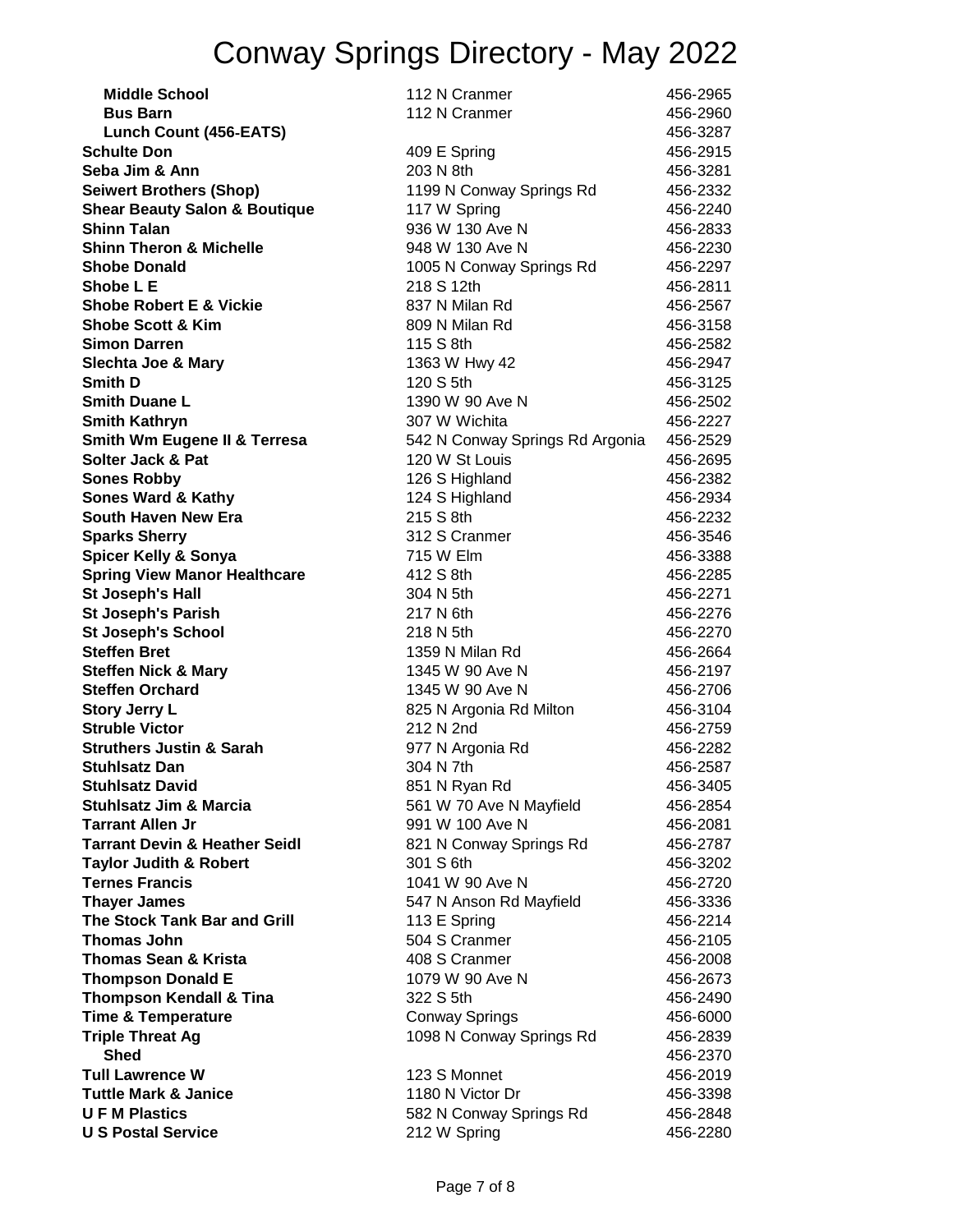| <b>Middle School</b>                     | 112 N Cranmer                   | 456-2965 |
|------------------------------------------|---------------------------------|----------|
| <b>Bus Barn</b>                          | 112 N Cranmer                   | 456-2960 |
| <b>Lunch Count (456-EATS)</b>            |                                 | 456-3287 |
| <b>Schulte Don</b>                       | 409 E Spring                    | 456-2915 |
| Seba Jim & Ann                           | 203 N 8th                       | 456-3281 |
| <b>Seiwert Brothers (Shop)</b>           | 1199 N Conway Springs Rd        | 456-2332 |
| <b>Shear Beauty Salon &amp; Boutique</b> | 117 W Spring                    | 456-2240 |
| <b>Shinn Talan</b>                       | 936 W 130 Ave N                 | 456-2833 |
| <b>Shinn Theron &amp; Michelle</b>       | 948 W 130 Ave N                 | 456-2230 |
| <b>Shobe Donald</b>                      | 1005 N Conway Springs Rd        | 456-2297 |
| Shobe L E                                | 218 S 12th                      | 456-2811 |
| <b>Shobe Robert E &amp; Vickie</b>       | 837 N Milan Rd                  | 456-2567 |
| <b>Shobe Scott &amp; Kim</b>             | 809 N Milan Rd                  | 456-3158 |
| <b>Simon Darren</b>                      | 115 S 8th                       | 456-2582 |
| <b>Slechta Joe &amp; Mary</b>            | 1363 W Hwy 42                   | 456-2947 |
| <b>Smith D</b>                           | 120 S 5th                       | 456-3125 |
| <b>Smith Duane L</b>                     | 1390 W 90 Ave N                 | 456-2502 |
| <b>Smith Kathryn</b>                     | 307 W Wichita                   | 456-2227 |
| <b>Smith Wm Eugene II &amp; Terresa</b>  | 542 N Conway Springs Rd Argonia | 456-2529 |
| <b>Solter Jack &amp; Pat</b>             | 120 W St Louis                  | 456-2695 |
| <b>Sones Robby</b>                       | 126 S Highland                  | 456-2382 |
| <b>Sones Ward &amp; Kathy</b>            | 124 S Highland                  | 456-2934 |
| South Haven New Era                      | 215 S 8th                       | 456-2232 |
| <b>Sparks Sherry</b>                     | 312 S Cranmer                   | 456-3546 |
| <b>Spicer Kelly &amp; Sonya</b>          | 715 W Elm                       | 456-3388 |
| <b>Spring View Manor Healthcare</b>      | 412 S 8th                       | 456-2285 |
| <b>St Joseph's Hall</b>                  | 304 N 5th                       | 456-2271 |
| <b>St Joseph's Parish</b>                | 217 N 6th                       | 456-2276 |
| <b>St Joseph's School</b>                | 218 N 5th                       | 456-2270 |
| <b>Steffen Bret</b>                      | 1359 N Milan Rd                 | 456-2664 |
| <b>Steffen Nick &amp; Mary</b>           | 1345 W 90 Ave N                 | 456-2197 |
| <b>Steffen Orchard</b>                   | 1345 W 90 Ave N                 | 456-2706 |
| <b>Story Jerry L</b>                     | 825 N Argonia Rd Milton         | 456-3104 |
| <b>Struble Victor</b>                    | 212 N 2nd                       | 456-2759 |
| <b>Struthers Justin &amp; Sarah</b>      | 977 N Argonia Rd                | 456-2282 |
| <b>Stuhlsatz Dan</b>                     | 304 N 7th                       | 456-2587 |
| <b>Stuhlsatz David</b>                   | 851 N Ryan Rd                   | 456-3405 |
| <b>Stuhlsatz Jim &amp; Marcia</b>        | 561 W 70 Ave N Mayfield         | 456-2854 |
| <b>Tarrant Allen Jr</b>                  | 991 W 100 Ave N                 | 456-2081 |
| <b>Tarrant Devin &amp; Heather Seidl</b> | 821 N Conway Springs Rd         | 456-2787 |
| <b>Taylor Judith &amp; Robert</b>        | 301 S 6th                       | 456-3202 |
| <b>Ternes Francis</b>                    | 1041 W 90 Ave N                 | 456-2720 |
| <b>Thayer James</b>                      | 547 N Anson Rd Mayfield         | 456-3336 |
| <b>The Stock Tank Bar and Grill</b>      | 113 E Spring                    | 456-2214 |
| <b>Thomas John</b>                       | 504 S Cranmer                   | 456-2105 |
| <b>Thomas Sean &amp; Krista</b>          | 408 S Cranmer                   | 456-2008 |
| <b>Thompson Donald E</b>                 | 1079 W 90 Ave N                 | 456-2673 |
| <b>Thompson Kendall &amp; Tina</b>       | 322 S 5th                       | 456-2490 |
| <b>Time &amp; Temperature</b>            | <b>Conway Springs</b>           | 456-6000 |
| <b>Triple Threat Ag</b>                  | 1098 N Conway Springs Rd        | 456-2839 |
| <b>Shed</b>                              |                                 | 456-2370 |
| <b>Tull Lawrence W</b>                   | 123 S Monnet                    | 456-2019 |
| <b>Tuttle Mark &amp; Janice</b>          | 1180 N Victor Dr                | 456-3398 |
| <b>UFM Plastics</b>                      | 582 N Conway Springs Rd         | 456-2848 |
| <b>U S Postal Service</b>                | 212 W Spring                    | 456-2280 |
|                                          |                                 |          |